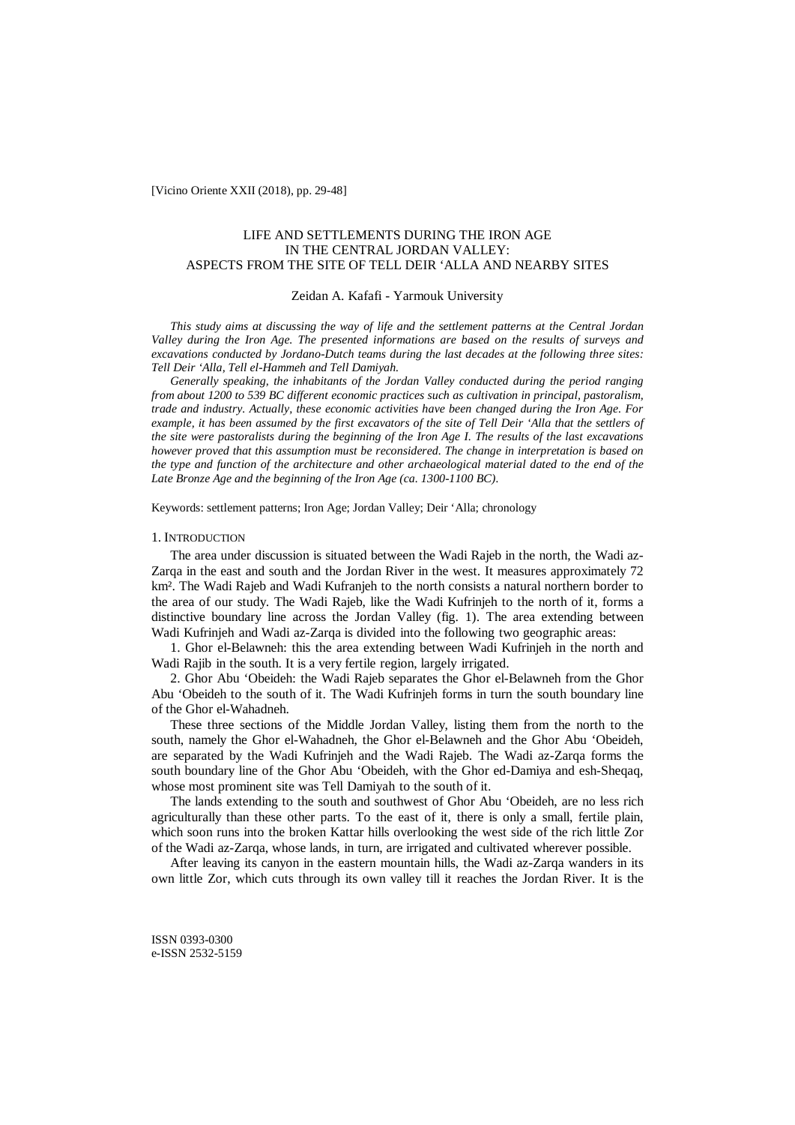[Vicino Oriente XXII (2018), pp. 29-48]

# LIFE AND SETTLEMENTS DURING THE IRON AGE IN THE CENTRAL JORDAN VALLEY: ASPECTS FROM THE SITE OF TELL DEIR 'ALLA AND NEARBY SITES

### Zeidan A. Kafafi - Yarmouk University

*This study aims at discussing the way of life and the settlement patterns at the Central Jordan Valley during the Iron Age. The presented informations are based on the results of surveys and excavations conducted by Jordano-Dutch teams during the last decades at the following three sites: Tell Deir 'Alla, Tell el-Hammeh and Tell Damiyah.*

*Generally speaking, the inhabitants of the Jordan Valley conducted during the period ranging from about 1200 to 539 BC different economic practices such as cultivation in principal, pastoralism, trade and industry. Actually, these economic activities have been changed during the Iron Age. For example, it has been assumed by the first excavators of the site of Tell Deir 'Alla that the settlers of the site were pastoralists during the beginning of the Iron Age I. The results of the last excavations however proved that this assumption must be reconsidered. The change in interpretation is based on the type and function of the architecture and other archaeological material dated to the end of the Late Bronze Age and the beginning of the Iron Age (ca. 1300-1100 BC).*

Keywords: settlement patterns; Iron Age; Jordan Valley; Deir 'Alla; chronology

### 1. INTRODUCTION

The area under discussion is situated between the Wadi Rajeb in the north, the Wadi az-Zarqa in the east and south and the Jordan River in the west. It measures approximately 72 km². The Wadi Rajeb and Wadi Kufranjeh to the north consists a natural northern border to the area of our study. The Wadi Rajeb, like the Wadi Kufrinjeh to the north of it, forms a distinctive boundary line across the Jordan Valley (fig. 1). The area extending between Wadi Kufrinjeh and Wadi az-Zarqa is divided into the following two geographic areas:

1. Ghor el-Belawneh: this the area extending between Wadi Kufrinjeh in the north and Wadi Rajib in the south. It is a very fertile region, largely irrigated.

2. Ghor Abu 'Obeideh: the Wadi Rajeb separates the Ghor el-Belawneh from the Ghor Abu 'Obeideh to the south of it. The Wadi Kufrinjeh forms in turn the south boundary line of the Ghor el-Wahadneh.

These three sections of the Middle Jordan Valley, listing them from the north to the south, namely the Ghor el-Wahadneh, the Ghor el-Belawneh and the Ghor Abu 'Obeideh, are separated by the Wadi Kufrinjeh and the Wadi Rajeb. The Wadi az-Zarqa forms the south boundary line of the Ghor Abu 'Obeideh, with the Ghor ed-Damiya and esh-Sheqaq, whose most prominent site was Tell Damiyah to the south of it.

The lands extending to the south and southwest of Ghor Abu 'Obeideh, are no less rich agriculturally than these other parts. To the east of it, there is only a small, fertile plain, which soon runs into the broken Kattar hills overlooking the west side of the rich little Zor of the Wadi az-Zarqa, whose lands, in turn, are irrigated and cultivated wherever possible.

After leaving its canyon in the eastern mountain hills, the Wadi az-Zarqa wanders in its own little Zor, which cuts through its own valley till it reaches the Jordan River. It is the

ISSN 0393-0300 e-ISSN 2532-5159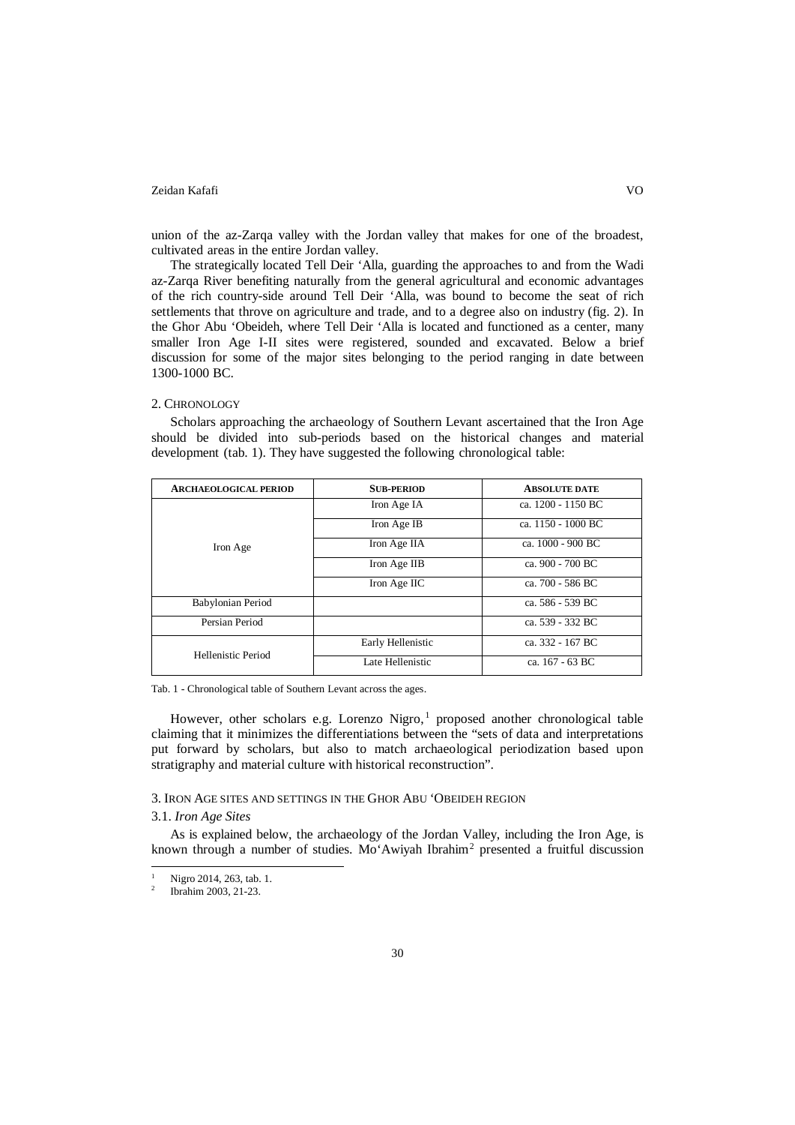union of the az-Zarqa valley with the Jordan valley that makes for one of the broadest, cultivated areas in the entire Jordan valley.

The strategically located Tell Deir 'Alla, guarding the approaches to and from the Wadi az-Zarqa River benefiting naturally from the general agricultural and economic advantages of the rich country-side around Tell Deir 'Alla, was bound to become the seat of rich settlements that throve on agriculture and trade, and to a degree also on industry (fig. 2). In the Ghor Abu 'Obeideh, where Tell Deir 'Alla is located and functioned as a center, many smaller Iron Age I-II sites were registered, sounded and excavated. Below a brief discussion for some of the major sites belonging to the period ranging in date between 1300-1000 BC.

### 2. CHRONOLOGY

Scholars approaching the archaeology of Southern Levant ascertained that the Iron Age should be divided into sub-periods based on the historical changes and material development (tab. 1). They have suggested the following chronological table:

| <b>ARCHAEOLOGICAL PERIOD</b> | <b>SUB-PERIOD</b> | <b>ABSOLUTE DATE</b> |
|------------------------------|-------------------|----------------------|
| Iron Age                     | Iron Age IA       | ca. 1200 - 1150 BC   |
|                              | Iron Age IB       | ca. 1150 - 1000 BC   |
|                              | Iron Age IIA      | ca. 1000 - 900 BC    |
|                              | Iron Age IIB      | ca. 900 - 700 BC     |
|                              | Iron Age IIC      | ca. 700 - 586 BC     |
| Babylonian Period            |                   | ca. 586 - 539 BC     |
| Persian Period               |                   | ca. 539 - 332 BC     |
| Hellenistic Period           | Early Hellenistic | ca. 332 - 167 BC     |
|                              | Late Hellenistic  | ca. 167 - 63 BC      |

Tab. 1 - Chronological table of Southern Levant across the ages.

However, other scholars e.g. Lorenzo Nigro,<sup>1</sup> proposed another chronological table claiming that it minimizes the differentiations between the "sets of data and interpretations put forward by scholars, but also to match archaeological periodization based upon stratigraphy and material culture with historical reconstruction".

## 3. IRON AGE SITES AND SETTINGS IN THE GHOR ABU 'OBEIDEH REGION

### 3.1. *Iron Age Sites*

 $\overline{a}$ 

As is explained below, the archaeology of the Jordan Valley, including the Iron Age, is known through a number of studies. Mo'Awiyah Ibrahim<sup>2</sup> presented a fruitful discussion

 $\frac{1}{2}$  Nigro 2014, 263, tab. 1.

<sup>2</sup> Ibrahim 2003, 21-23.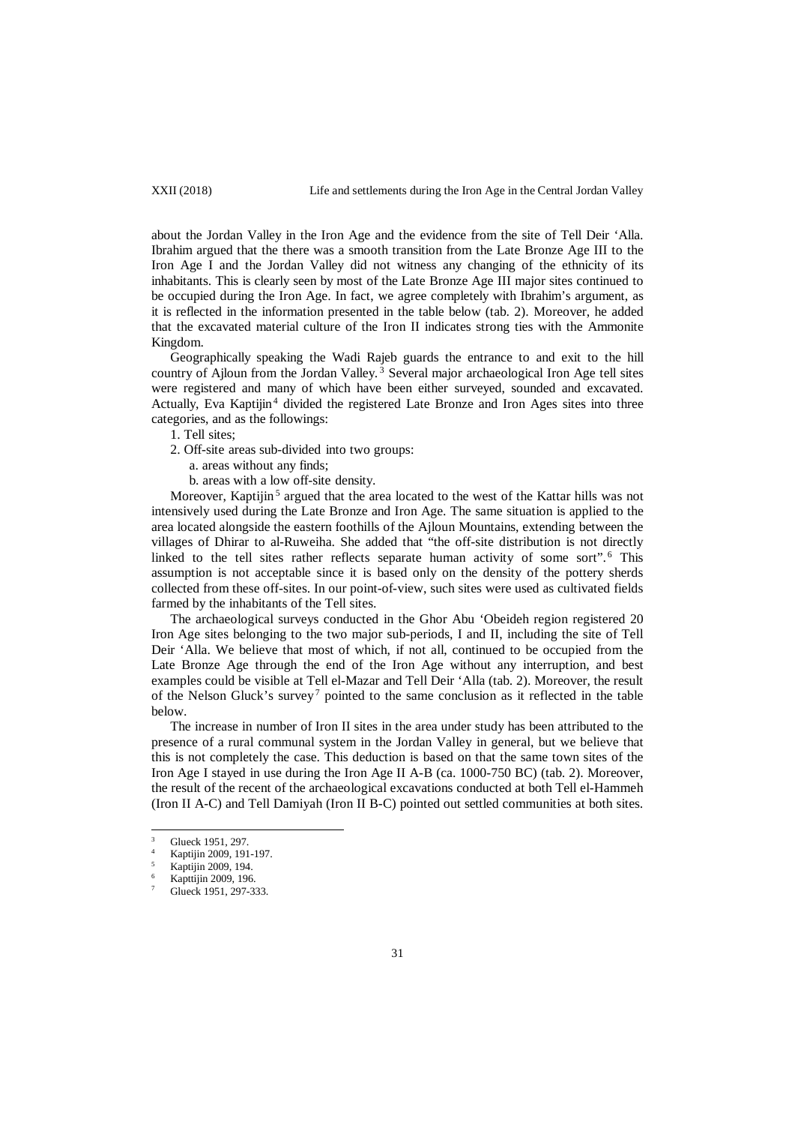about the Jordan Valley in the Iron Age and the evidence from the site of Tell Deir 'Alla. Ibrahim argued that the there was a smooth transition from the Late Bronze Age III to the Iron Age I and the Jordan Valley did not witness any changing of the ethnicity of its inhabitants. This is clearly seen by most of the Late Bronze Age III major sites continued to be occupied during the Iron Age. In fact, we agree completely with Ibrahim's argument, as it is reflected in the information presented in the table below (tab. 2). Moreover, he added that the excavated material culture of the Iron II indicates strong ties with the Ammonite Kingdom.

Geographically speaking the Wadi Rajeb guards the entrance to and exit to the hill country of Ajloun from the Jordan Valley.<sup>3</sup> Several major archaeological Iron Age tell sites were registered and many of which have been either surveyed, sounded and excavated. Actually, Eva Kaptijin<sup>4</sup> divided the registered Late Bronze and Iron Ages sites into three categories, and as the followings:

1. Tell sites;

- 2. Off-site areas sub-divided into two groups:
	- a. areas without any finds;
	- b. areas with a low off-site density.

Moreover, Kaptijin<sup>5</sup> argued that the area located to the west of the Kattar hills was not intensively used during the Late Bronze and Iron Age. The same situation is applied to the area located alongside the eastern foothills of the Ajloun Mountains, extending between the villages of Dhirar to al-Ruweiha. She added that "the off-site distribution is not directly linked to the tell sites rather reflects separate human activity of some sort". <sup>6</sup> This assumption is not acceptable since it is based only on the density of the pottery sherds collected from these off-sites. In our point-of-view, such sites were used as cultivated fields farmed by the inhabitants of the Tell sites.

The archaeological surveys conducted in the Ghor Abu 'Obeideh region registered 20 Iron Age sites belonging to the two major sub-periods, I and II, including the site of Tell Deir 'Alla. We believe that most of which, if not all, continued to be occupied from the Late Bronze Age through the end of the Iron Age without any interruption, and best examples could be visible at Tell el-Mazar and Tell Deir 'Alla (tab. 2). Moreover, the result of the Nelson Gluck's survey<sup>7</sup> pointed to the same conclusion as it reflected in the table below.

The increase in number of Iron II sites in the area under study has been attributed to the presence of a rural communal system in the Jordan Valley in general, but we believe that this is not completely the case. This deduction is based on that the same town sites of the Iron Age I stayed in use during the Iron Age II A-B (ca. 1000-750 BC) (tab. 2). Moreover, the result of the recent of the archaeological excavations conducted at both Tell el-Hammeh (Iron II A-C) and Tell Damiyah (Iron II B-C) pointed out settled communities at both sites.

Glueck 1951, 297.

Kaptijin 2009, 191-197.

<sup>5</sup> Kaptijin 2009, 194.

<sup>6</sup> Kapttijin 2009, 196.

Glueck 1951, 297-333.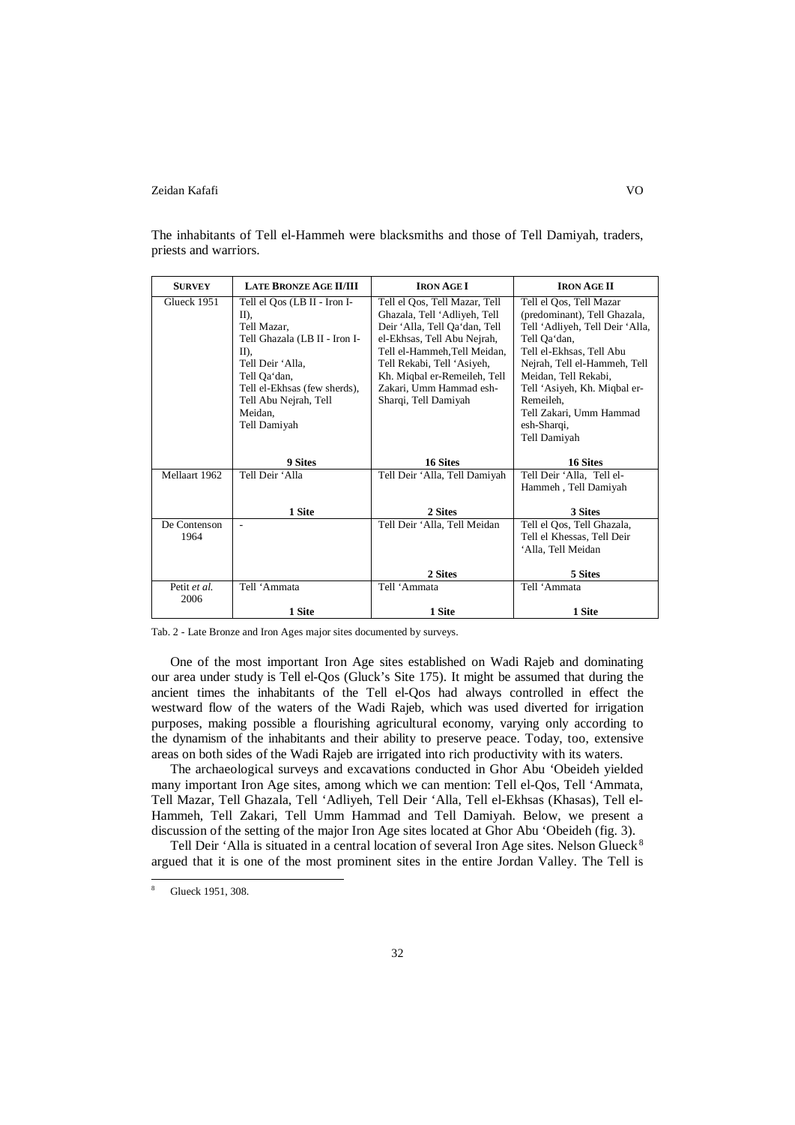| <b>SURVEY</b> | <b>LATE BRONZE AGE II/III</b> | <b>IRON AGE I</b>             | <b>IRON AGE II</b>              |
|---------------|-------------------------------|-------------------------------|---------------------------------|
| Glueck 1951   | Tell el Qos (LB II - Iron I-  | Tell el Qos, Tell Mazar, Tell | Tell el Qos, Tell Mazar         |
|               | II),                          | Ghazala, Tell 'Adliyeh, Tell  | (predominant), Tell Ghazala,    |
|               | Tell Mazar.                   | Deir 'Alla, Tell Qa'dan, Tell | Tell 'Adliyeh, Tell Deir 'Alla, |
|               | Tell Ghazala (LB II - Iron I- | el-Ekhsas, Tell Abu Nejrah,   | Tell Oa'dan,                    |
|               | $II$ ),                       | Tell el-Hammeh, Tell Meidan,  | Tell el-Ekhsas, Tell Abu        |
|               | Tell Deir 'Alla.              | Tell Rekabi, Tell 'Asiyeh,    | Nejrah, Tell el-Hammeh, Tell    |
|               | Tell Qa'dan,                  | Kh. Miqbal er-Remeileh, Tell  | Meidan, Tell Rekabi,            |
|               | Tell el-Ekhsas (few sherds),  | Zakari, Umm Hammad esh-       | Tell 'Asiyeh, Kh. Miqbal er-    |
|               | Tell Abu Nejrah, Tell         | Sharqi, Tell Damiyah          | Remeileh.                       |
|               | Meidan.                       |                               | Tell Zakari, Umm Hammad         |
|               | Tell Damiyah                  |                               | esh-Sharqi,                     |
|               |                               |                               | Tell Damiyah                    |
|               |                               |                               |                                 |
|               | 9 Sites                       | 16 Sites                      | 16 Sites                        |
| Mellaart 1962 | Tell Deir 'Alla               | Tell Deir 'Alla, Tell Damiyah | Tell Deir 'Alla, Tell el-       |
|               |                               |                               | Hammeh, Tell Damiyah            |
|               |                               |                               |                                 |
|               | 1 Site                        | 2 Sites                       | 3 Sites                         |
| De Contenson  |                               | Tell Deir 'Alla, Tell Meidan  | Tell el Qos, Tell Ghazala,      |
| 1964          |                               |                               | Tell el Khessas, Tell Deir      |
|               |                               |                               | 'Alla, Tell Meidan              |
|               |                               |                               |                                 |
|               |                               | 2 Sites                       | 5 Sites                         |
| Petit et al.  | Tell 'Ammata                  | Tell 'Ammata                  | Tell 'Ammata                    |
| 2006          |                               |                               |                                 |
|               | 1 Site                        | 1 Site                        | 1 Site                          |

The inhabitants of Tell el-Hammeh were blacksmiths and those of Tell Damiyah, traders, priests and warriors.

Tab. 2 - Late Bronze and Iron Ages major sites documented by surveys.

One of the most important Iron Age sites established on Wadi Rajeb and dominating our area under study is Tell el-Qos (Gluck's Site 175). It might be assumed that during the ancient times the inhabitants of the Tell el-Qos had always controlled in effect the westward flow of the waters of the Wadi Rajeb, which was used diverted for irrigation purposes, making possible a flourishing agricultural economy, varying only according to the dynamism of the inhabitants and their ability to preserve peace. Today, too, extensive areas on both sides of the Wadi Rajeb are irrigated into rich productivity with its waters.

The archaeological surveys and excavations conducted in Ghor Abu 'Obeideh yielded many important Iron Age sites, among which we can mention: Tell el-Qos, Tell 'Ammata, Tell Mazar, Tell Ghazala, Tell 'Adliyeh, Tell Deir 'Alla, Tell el-Ekhsas (Khasas), Tell el-Hammeh, Tell Zakari, Tell Umm Hammad and Tell Damiyah. Below, we present a discussion of the setting of the major Iron Age sites located at Ghor Abu 'Obeideh (fig. 3).

Tell Deir 'Alla is situated in a central location of several Iron Age sites. Nelson Glueck<sup>8</sup> argued that it is one of the most prominent sites in the entire Jordan Valley. The Tell is

 $\overline{\mathbf{8}}$ 

Glueck 1951, 308.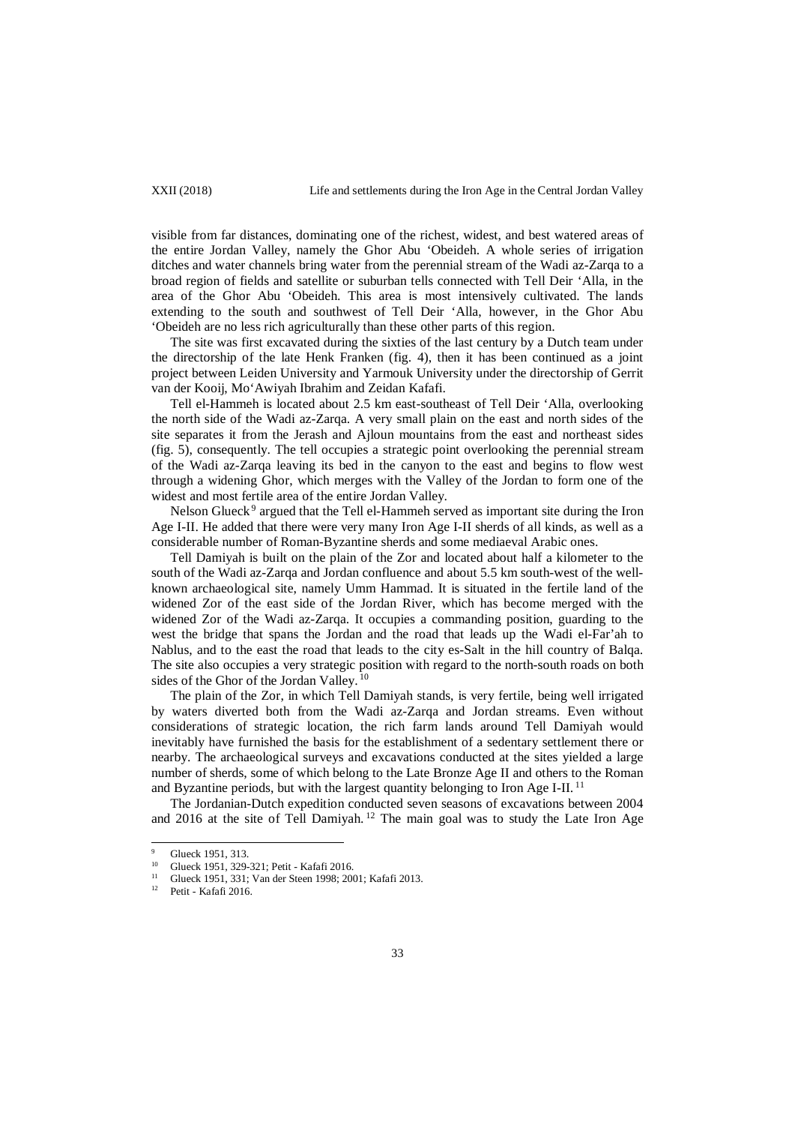visible from far distances, dominating one of the richest, widest, and best watered areas of the entire Jordan Valley, namely the Ghor Abu 'Obeideh. A whole series of irrigation ditches and water channels bring water from the perennial stream of the Wadi az-Zarqa to a broad region of fields and satellite or suburban tells connected with Tell Deir 'Alla, in the area of the Ghor Abu 'Obeideh. This area is most intensively cultivated. The lands extending to the south and southwest of Tell Deir 'Alla, however, in the Ghor Abu 'Obeideh are no less rich agriculturally than these other parts of this region.

The site was first excavated during the sixties of the last century by a Dutch team under the directorship of the late Henk Franken (fig. 4), then it has been continued as a joint project between Leiden University and Yarmouk University under the directorship of Gerrit van der Kooij, Mo'Awiyah Ibrahim and Zeidan Kafafi.

Tell el-Hammeh is located about 2.5 km east-southeast of Tell Deir 'Alla, overlooking the north side of the Wadi az-Zarqa. A very small plain on the east and north sides of the site separates it from the Jerash and Ajloun mountains from the east and northeast sides (fig. 5), consequently. The tell occupies a strategic point overlooking the perennial stream of the Wadi az-Zarqa leaving its bed in the canyon to the east and begins to flow west through a widening Ghor, which merges with the Valley of the Jordan to form one of the widest and most fertile area of the entire Jordan Valley.

Nelson Glueck $9$  argued that the Tell el-Hammeh served as important site during the Iron Age I-II. He added that there were very many Iron Age I-II sherds of all kinds, as well as a considerable number of Roman-Byzantine sherds and some mediaeval Arabic ones.

Tell Damiyah is built on the plain of the Zor and located about half a kilometer to the south of the Wadi az-Zarqa and Jordan confluence and about 5.5 km south-west of the wellknown archaeological site, namely Umm Hammad. It is situated in the fertile land of the widened Zor of the east side of the Jordan River, which has become merged with the widened Zor of the Wadi az-Zarqa. It occupies a commanding position, guarding to the west the bridge that spans the Jordan and the road that leads up the Wadi el-Far'ah to Nablus, and to the east the road that leads to the city es-Salt in the hill country of Balqa. The site also occupies a very strategic position with regard to the north-south roads on both sides of the Ghor of the Jordan Valley.<sup>10</sup>

The plain of the Zor, in which Tell Damiyah stands, is very fertile, being well irrigated by waters diverted both from the Wadi az-Zarqa and Jordan streams. Even without considerations of strategic location, the rich farm lands around Tell Damiyah would inevitably have furnished the basis for the establishment of a sedentary settlement there or nearby. The archaeological surveys and excavations conducted at the sites yielded a large number of sherds, some of which belong to the Late Bronze Age II and others to the Roman and Byzantine periods, but with the largest quantity belonging to Iron Age I-II. <sup>11</sup>

The Jordanian-Dutch expedition conducted seven seasons of excavations between 2004 and 2016 at the site of Tell Damiyah.<sup>12</sup> The main goal was to study the Late Iron Age

 $^{9}$  Glueck 1951, 313.

<sup>&</sup>lt;sup>10</sup> Glueck 1951, 329-321; Petit - Kafafi 2016.

<sup>11</sup> Glueck 1951, 331; Van der Steen 1998; 2001; Kafafi 2013.

Petit - Kafafi 2016.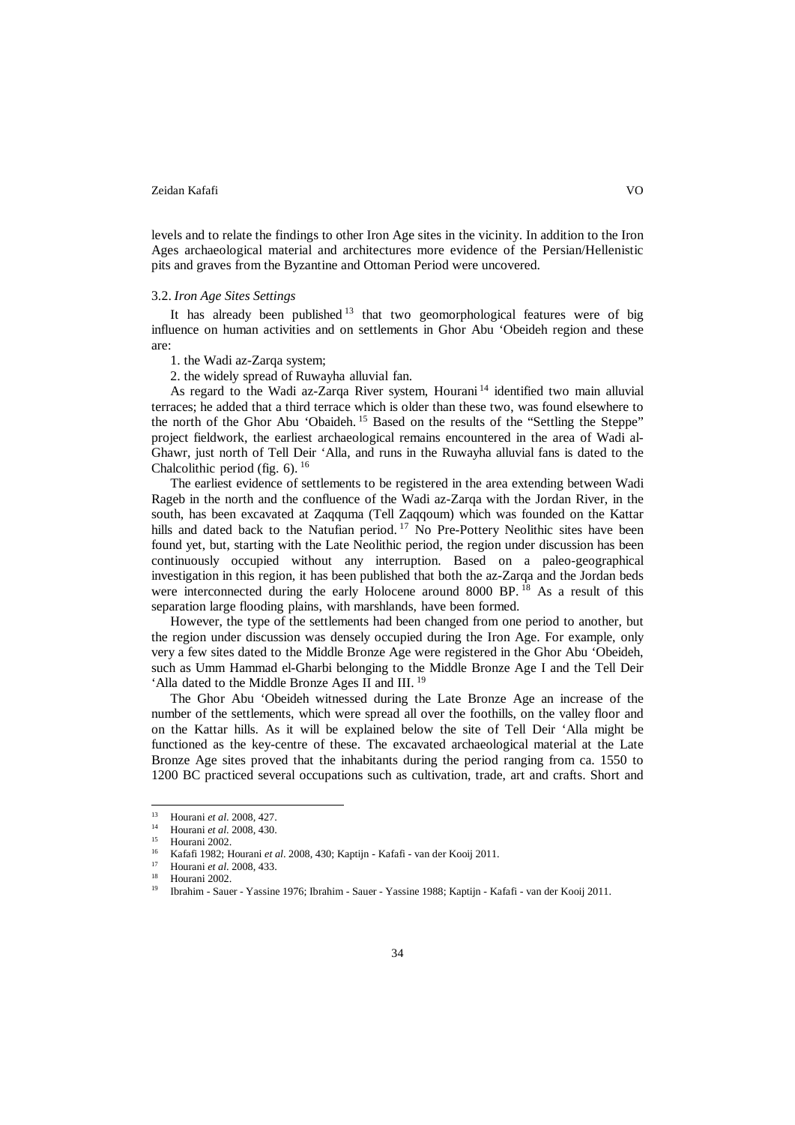levels and to relate the findings to other Iron Age sites in the vicinity. In addition to the Iron Ages archaeological material and architectures more evidence of the Persian/Hellenistic pits and graves from the Byzantine and Ottoman Period were uncovered.

#### 3.2. *Iron Age Sites Settings*

It has already been published  $13$  that two geomorphological features were of big influence on human activities and on settlements in Ghor Abu 'Obeideh region and these are:

1. the Wadi az-Zarqa system;

2. the widely spread of Ruwayha alluvial fan.

As regard to the Wadi az-Zarqa River system, Hourani <sup>14</sup> identified two main alluvial terraces; he added that a third terrace which is older than these two, was found elsewhere to the north of the Ghor Abu 'Obaideh.<sup>15</sup> Based on the results of the "Settling the Steppe" project fieldwork, the earliest archaeological remains encountered in the area of Wadi al-Ghawr, just north of Tell Deir 'Alla, and runs in the Ruwayha alluvial fans is dated to the Chalcolithic period (fig.  $6$ ). <sup>16</sup>

The earliest evidence of settlements to be registered in the area extending between Wadi Rageb in the north and the confluence of the Wadi az-Zarqa with the Jordan River, in the south, has been excavated at Zaqquma (Tell Zaqqoum) which was founded on the Kattar hills and dated back to the Natufian period.<sup>17</sup> No Pre-Pottery Neolithic sites have been found yet, but, starting with the Late Neolithic period, the region under discussion has been continuously occupied without any interruption. Based on a paleo-geographical investigation in this region, it has been published that both the az-Zarqa and the Jordan beds were interconnected during the early Holocene around 8000 BP.<sup>18</sup> As a result of this separation large flooding plains, with marshlands, have been formed.

However, the type of the settlements had been changed from one period to another, but the region under discussion was densely occupied during the Iron Age. For example, only very a few sites dated to the Middle Bronze Age were registered in the Ghor Abu 'Obeideh, such as Umm Hammad el-Gharbi belonging to the Middle Bronze Age I and the Tell Deir 'Alla dated to the Middle Bronze Ages II and III. <sup>19</sup>

The Ghor Abu 'Obeideh witnessed during the Late Bronze Age an increase of the number of the settlements, which were spread all over the foothills, on the valley floor and on the Kattar hills. As it will be explained below the site of Tell Deir 'Alla might be functioned as the key-centre of these. The excavated archaeological material at the Late Bronze Age sites proved that the inhabitants during the period ranging from ca. 1550 to 1200 BC practiced several occupations such as cultivation, trade, art and crafts. Short and

<sup>13</sup> Hourani *et al*. 2008, 427.  $13$ 

<sup>14</sup> Hourani *et al*. 2008, 430.

Hourani 2002.

<sup>16</sup> Kafafi 1982; Hourani *et al*. 2008, 430; Kaptijn - Kafafi - van der Kooij 2011.

<sup>&</sup>lt;sup>17</sup> Hourani *et al.* 2008, 433.

Hourani 2002.

<sup>19</sup> Ibrahim - Sauer - Yassine 1976; Ibrahim - Sauer - Yassine 1988; Kaptijn - Kafafi - van der Kooij 2011.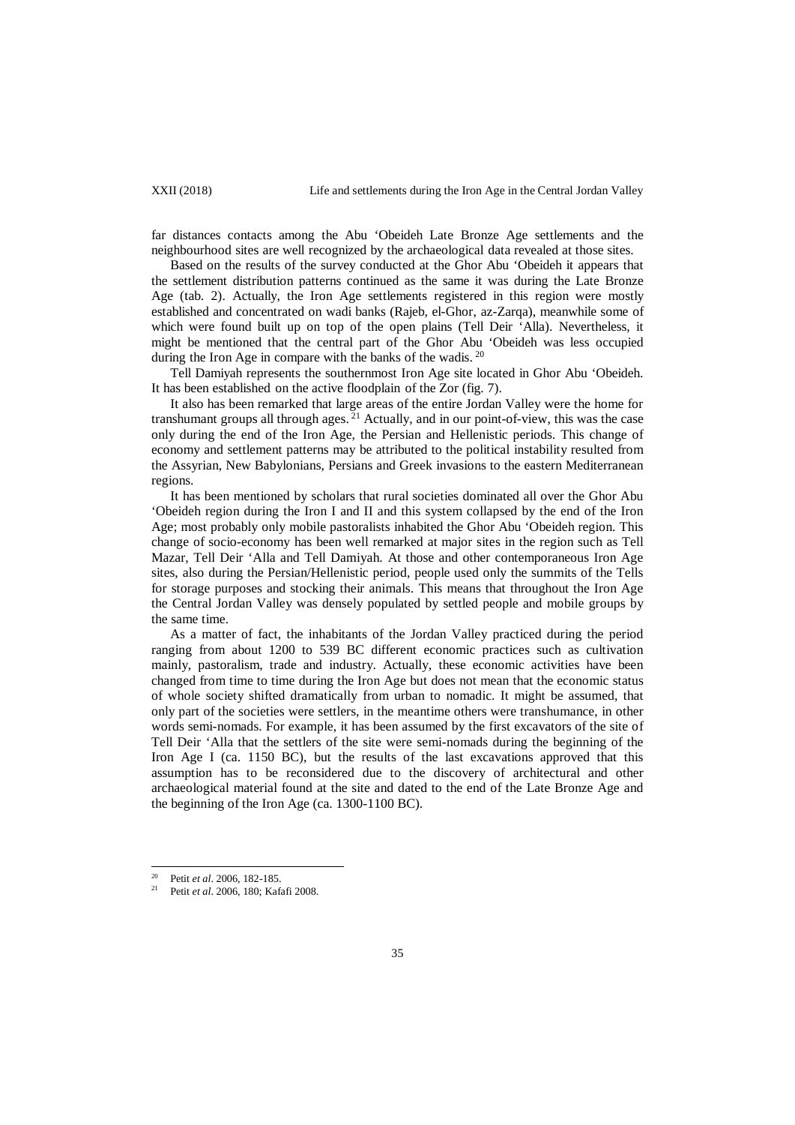far distances contacts among the Abu 'Obeideh Late Bronze Age settlements and the neighbourhood sites are well recognized by the archaeological data revealed at those sites.

Based on the results of the survey conducted at the Ghor Abu 'Obeideh it appears that the settlement distribution patterns continued as the same it was during the Late Bronze Age (tab. 2). Actually, the Iron Age settlements registered in this region were mostly established and concentrated on wadi banks (Rajeb, el-Ghor, az-Zarqa), meanwhile some of which were found built up on top of the open plains (Tell Deir 'Alla). Nevertheless, it might be mentioned that the central part of the Ghor Abu 'Obeideh was less occupied during the Iron Age in compare with the banks of the wadis.<sup>20</sup>

Tell Damiyah represents the southernmost Iron Age site located in Ghor Abu 'Obeideh. It has been established on the active floodplain of the Zor (fig. 7).

It also has been remarked that large areas of the entire Jordan Valley were the home for transhumant groups all through ages.<sup>21</sup> Actually, and in our point-of-view, this was the case only during the end of the Iron Age, the Persian and Hellenistic periods. This change of economy and settlement patterns may be attributed to the political instability resulted from the Assyrian, New Babylonians, Persians and Greek invasions to the eastern Mediterranean regions.

It has been mentioned by scholars that rural societies dominated all over the Ghor Abu 'Obeideh region during the Iron I and II and this system collapsed by the end of the Iron Age; most probably only mobile pastoralists inhabited the Ghor Abu 'Obeideh region. This change of socio-economy has been well remarked at major sites in the region such as Tell Mazar, Tell Deir 'Alla and Tell Damiyah. At those and other contemporaneous Iron Age sites, also during the Persian/Hellenistic period, people used only the summits of the Tells for storage purposes and stocking their animals. This means that throughout the Iron Age the Central Jordan Valley was densely populated by settled people and mobile groups by the same time.

As a matter of fact, the inhabitants of the Jordan Valley practiced during the period ranging from about 1200 to 539 BC different economic practices such as cultivation mainly, pastoralism, trade and industry. Actually, these economic activities have been changed from time to time during the Iron Age but does not mean that the economic status of whole society shifted dramatically from urban to nomadic. It might be assumed, that only part of the societies were settlers, in the meantime others were transhumance, in other words semi-nomads. For example, it has been assumed by the first excavators of the site of Tell Deir 'Alla that the settlers of the site were semi-nomads during the beginning of the Iron Age I (ca. 1150 BC), but the results of the last excavations approved that this assumption has to be reconsidered due to the discovery of architectural and other archaeological material found at the site and dated to the end of the Late Bronze Age and the beginning of the Iron Age (ca. 1300-1100 BC).

<sup>&</sup>lt;sup>20</sup> Petit *et al.* 2006, 182-185.

<sup>21</sup> Petit *et al*. 2006, 180; Kafafi 2008.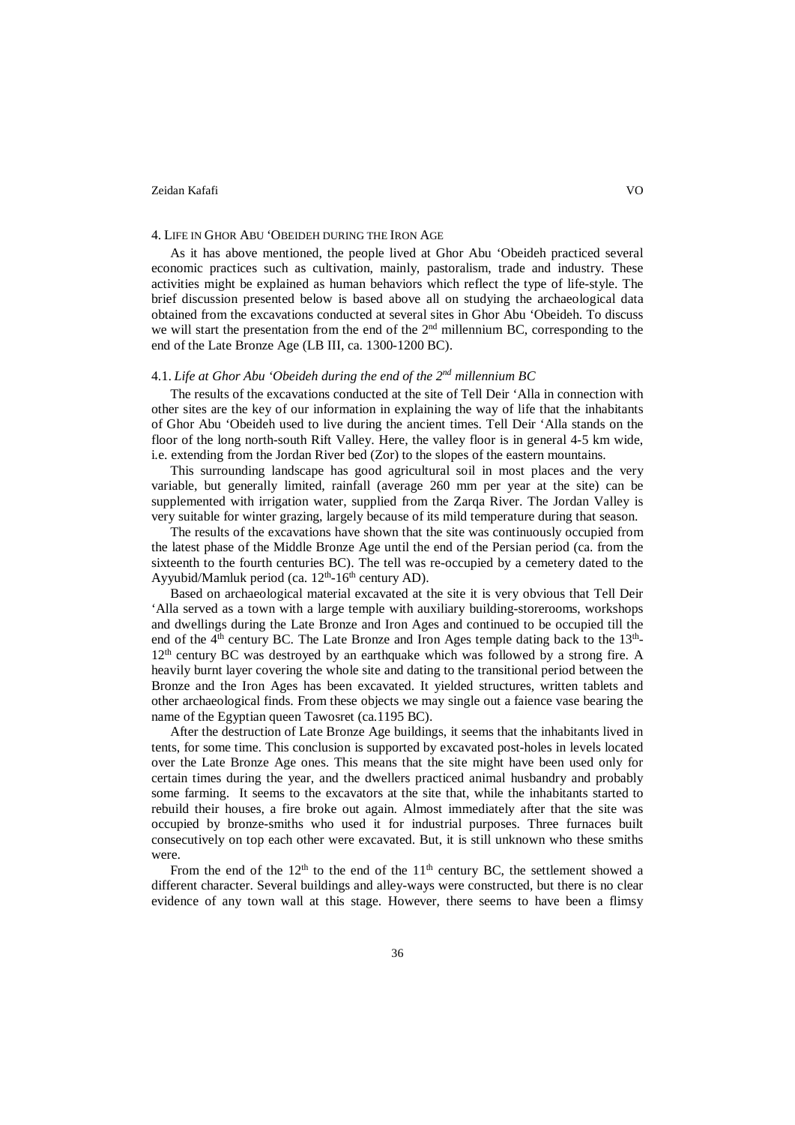#### 4. LIFE IN GHOR ABU 'OBEIDEH DURING THE IRON AGE

As it has above mentioned, the people lived at Ghor Abu 'Obeideh practiced several economic practices such as cultivation, mainly, pastoralism, trade and industry. These activities might be explained as human behaviors which reflect the type of life-style. The brief discussion presented below is based above all on studying the archaeological data obtained from the excavations conducted at several sites in Ghor Abu 'Obeideh. To discuss we will start the presentation from the end of the  $2<sup>nd</sup>$  millennium BC, corresponding to the end of the Late Bronze Age (LB III, ca. 1300-1200 BC).

# 4.1. *Life at Ghor Abu 'Obeideh during the end of the 2nd millennium BC*

The results of the excavations conducted at the site of Tell Deir 'Alla in connection with other sites are the key of our information in explaining the way of life that the inhabitants of Ghor Abu 'Obeideh used to live during the ancient times. Tell Deir 'Alla stands on the floor of the long north-south Rift Valley. Here, the valley floor is in general 4-5 km wide, i.e. extending from the Jordan River bed (Zor) to the slopes of the eastern mountains.

This surrounding landscape has good agricultural soil in most places and the very variable, but generally limited, rainfall (average 260 mm per year at the site) can be supplemented with irrigation water, supplied from the Zarqa River. The Jordan Valley is very suitable for winter grazing, largely because of its mild temperature during that season.

The results of the excavations have shown that the site was continuously occupied from the latest phase of the Middle Bronze Age until the end of the Persian period (ca. from the sixteenth to the fourth centuries BC). The tell was re-occupied by a cemetery dated to the Ayyubid/Mamluk period (ca.  $12<sup>th</sup>$ -16<sup>th</sup> century AD).

Based on archaeological material excavated at the site it is very obvious that Tell Deir 'Alla served as a town with a large temple with auxiliary building-storerooms, workshops and dwellings during the Late Bronze and Iron Ages and continued to be occupied till the end of the  $4<sup>th</sup>$  century BC. The Late Bronze and Iron Ages temple dating back to the  $13<sup>th</sup>$ -12th century BC was destroyed by an earthquake which was followed by a strong fire. A heavily burnt layer covering the whole site and dating to the transitional period between the Bronze and the Iron Ages has been excavated. It yielded structures, written tablets and other archaeological finds. From these objects we may single out a faience vase bearing the name of the Egyptian queen Tawosret (ca.1195 BC).

After the destruction of Late Bronze Age buildings, it seems that the inhabitants lived in tents, for some time. This conclusion is supported by excavated post-holes in levels located over the Late Bronze Age ones. This means that the site might have been used only for certain times during the year, and the dwellers practiced animal husbandry and probably some farming. It seems to the excavators at the site that, while the inhabitants started to rebuild their houses, a fire broke out again. Almost immediately after that the site was occupied by bronze-smiths who used it for industrial purposes. Three furnaces built consecutively on top each other were excavated. But, it is still unknown who these smiths were.

From the end of the  $12<sup>th</sup>$  to the end of the  $11<sup>th</sup>$  century BC, the settlement showed a different character. Several buildings and alley-ways were constructed, but there is no clear evidence of any town wall at this stage. However, there seems to have been a flimsy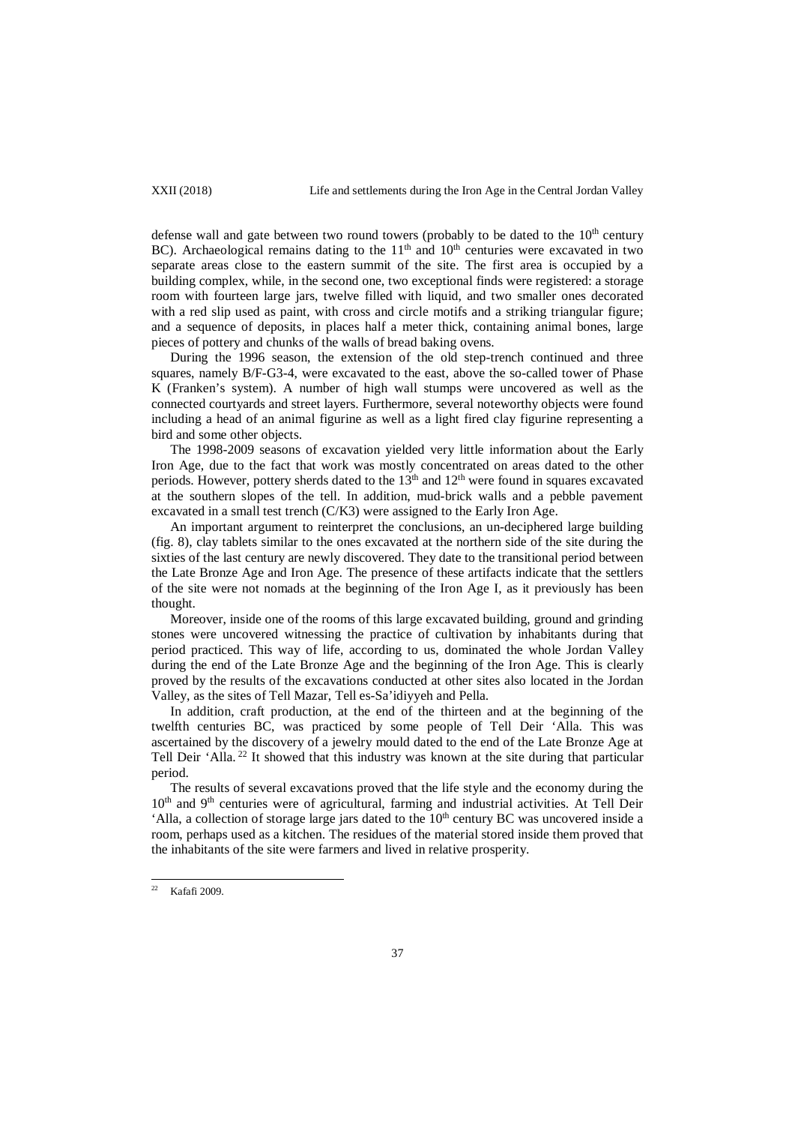defense wall and gate between two round towers (probably to be dated to the  $10<sup>th</sup>$  century BC). Archaeological remains dating to the  $11<sup>th</sup>$  and  $10<sup>th</sup>$  centuries were excavated in two separate areas close to the eastern summit of the site. The first area is occupied by a building complex, while, in the second one, two exceptional finds were registered: a storage room with fourteen large jars, twelve filled with liquid, and two smaller ones decorated with a red slip used as paint, with cross and circle motifs and a striking triangular figure; and a sequence of deposits, in places half a meter thick, containing animal bones, large pieces of pottery and chunks of the walls of bread baking ovens.

During the 1996 season, the extension of the old step-trench continued and three squares, namely B/F-G3-4, were excavated to the east, above the so-called tower of Phase K (Franken's system). A number of high wall stumps were uncovered as well as the connected courtyards and street layers. Furthermore, several noteworthy objects were found including a head of an animal figurine as well as a light fired clay figurine representing a bird and some other objects.

The 1998-2009 seasons of excavation yielded very little information about the Early Iron Age, due to the fact that work was mostly concentrated on areas dated to the other periods. However, pottery sherds dated to the  $13<sup>th</sup>$  and  $12<sup>th</sup>$  were found in squares excavated at the southern slopes of the tell. In addition, mud-brick walls and a pebble pavement excavated in a small test trench (C/K3) were assigned to the Early Iron Age.

An important argument to reinterpret the conclusions, an un-deciphered large building (fig. 8), clay tablets similar to the ones excavated at the northern side of the site during the sixties of the last century are newly discovered. They date to the transitional period between the Late Bronze Age and Iron Age. The presence of these artifacts indicate that the settlers of the site were not nomads at the beginning of the Iron Age I, as it previously has been thought.

Moreover, inside one of the rooms of this large excavated building, ground and grinding stones were uncovered witnessing the practice of cultivation by inhabitants during that period practiced. This way of life, according to us, dominated the whole Jordan Valley during the end of the Late Bronze Age and the beginning of the Iron Age. This is clearly proved by the results of the excavations conducted at other sites also located in the Jordan Valley, as the sites of Tell Mazar, Tell es-Sa'idiyyeh and Pella.

In addition, craft production, at the end of the thirteen and at the beginning of the twelfth centuries BC, was practiced by some people of Tell Deir 'Alla. This was ascertained by the discovery of a jewelry mould dated to the end of the Late Bronze Age at Tell Deir 'Alla.<sup>22</sup> It showed that this industry was known at the site during that particular period.

The results of several excavations proved that the life style and the economy during the 10<sup>th</sup> and 9<sup>th</sup> centuries were of agricultural, farming and industrial activities. At Tell Deir 'Alla, a collection of storage large jars dated to the  $10<sup>th</sup>$  century BC was uncovered inside a room, perhaps used as a kitchen. The residues of the material stored inside them proved that the inhabitants of the site were farmers and lived in relative prosperity.

 $22$  Kafafi 2009.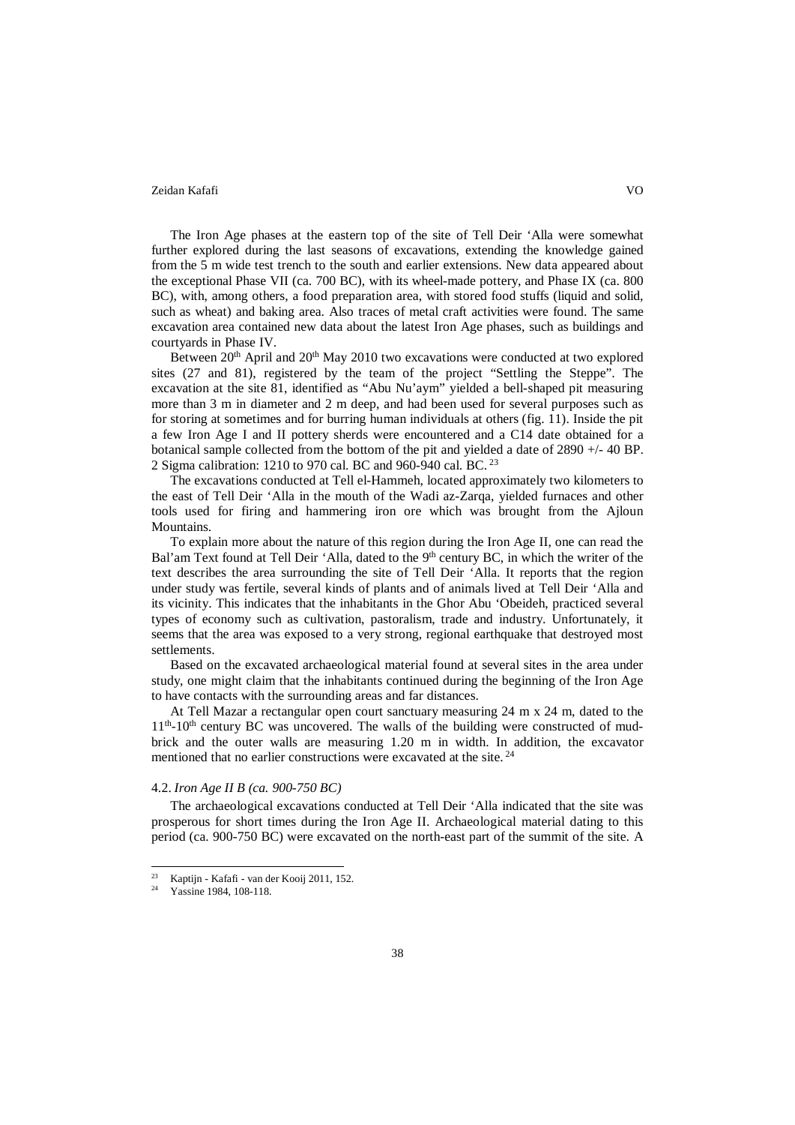The Iron Age phases at the eastern top of the site of Tell Deir 'Alla were somewhat further explored during the last seasons of excavations, extending the knowledge gained from the 5 m wide test trench to the south and earlier extensions. New data appeared about the exceptional Phase VII (ca. 700 BC), with its wheel-made pottery, and Phase IX (ca. 800 BC), with, among others, a food preparation area, with stored food stuffs (liquid and solid, such as wheat) and baking area. Also traces of metal craft activities were found. The same excavation area contained new data about the latest Iron Age phases, such as buildings and courtyards in Phase IV.

Between 20<sup>th</sup> April and 20<sup>th</sup> May 2010 two excavations were conducted at two explored sites (27 and 81), registered by the team of the project "Settling the Steppe". The excavation at the site 81, identified as "Abu Nu'aym" yielded a bell-shaped pit measuring more than 3 m in diameter and 2 m deep, and had been used for several purposes such as for storing at sometimes and for burring human individuals at others (fig. 11). Inside the pit a few Iron Age I and II pottery sherds were encountered and a C14 date obtained for a botanical sample collected from the bottom of the pit and yielded a date of 2890 +/- 40 BP. 2 Sigma calibration: 1210 to 970 cal. BC and 960-940 cal. BC. <sup>23</sup>

The excavations conducted at Tell el-Hammeh, located approximately two kilometers to the east of Tell Deir 'Alla in the mouth of the Wadi az-Zarqa, yielded furnaces and other tools used for firing and hammering iron ore which was brought from the Ajloun Mountains.

To explain more about the nature of this region during the Iron Age II, one can read the Bal'am Text found at Tell Deir 'Alla, dated to the 9<sup>th</sup> century BC, in which the writer of the text describes the area surrounding the site of Tell Deir 'Alla. It reports that the region under study was fertile, several kinds of plants and of animals lived at Tell Deir 'Alla and its vicinity. This indicates that the inhabitants in the Ghor Abu 'Obeideh, practiced several types of economy such as cultivation, pastoralism, trade and industry. Unfortunately, it seems that the area was exposed to a very strong, regional earthquake that destroyed most settlements.

Based on the excavated archaeological material found at several sites in the area under study, one might claim that the inhabitants continued during the beginning of the Iron Age to have contacts with the surrounding areas and far distances.

At Tell Mazar a rectangular open court sanctuary measuring 24 m x 24 m, dated to the  $11<sup>th</sup>$ -10<sup>th</sup> century BC was uncovered. The walls of the building were constructed of mudbrick and the outer walls are measuring 1.20 m in width. In addition, the excavator mentioned that no earlier constructions were excavated at the site.<sup>24</sup>

## 4.2. *Iron Age II B (ca. 900-750 BC)*

The archaeological excavations conducted at Tell Deir 'Alla indicated that the site was prosperous for short times during the Iron Age II. Archaeological material dating to this period (ca. 900-750 BC) were excavated on the north-east part of the summit of the site. A

 $\frac{23}{24}$  Kaptijn - Kafafi - van der Kooij 2011, 152.  $23$ 

Yassine 1984, 108-118.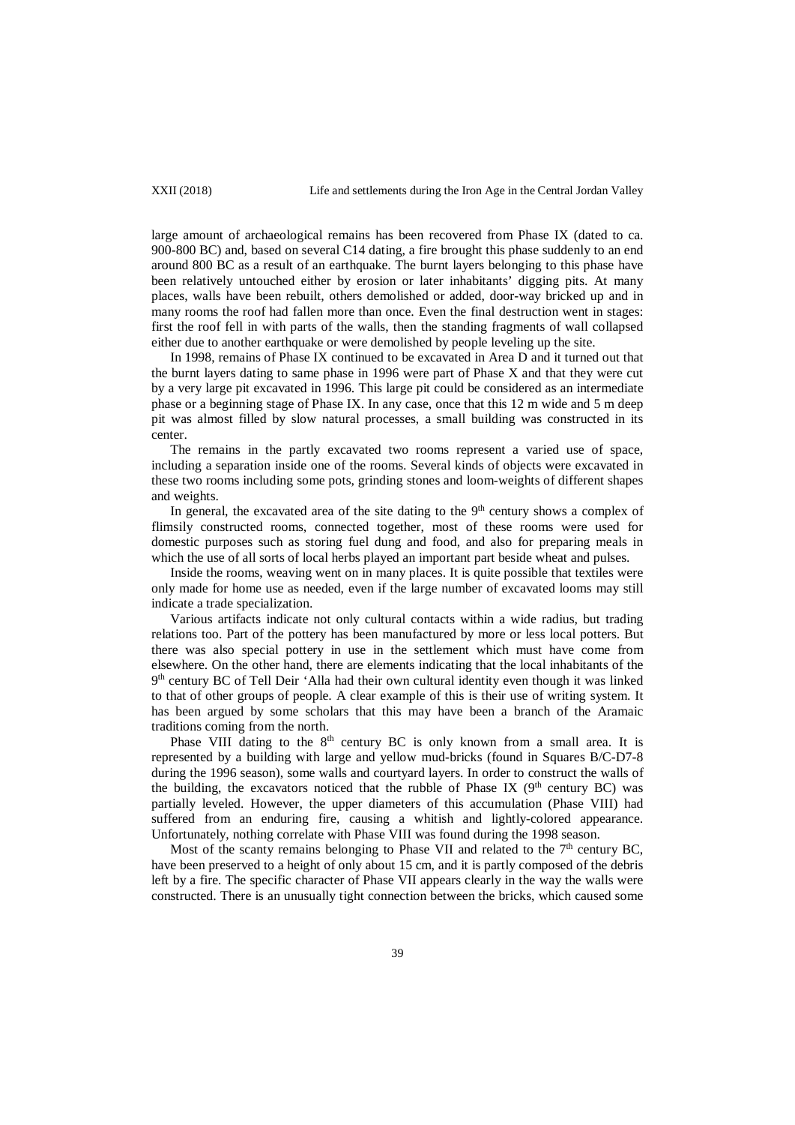large amount of archaeological remains has been recovered from Phase IX (dated to ca. 900-800 BC) and, based on several C14 dating, a fire brought this phase suddenly to an end around 800 BC as a result of an earthquake. The burnt layers belonging to this phase have been relatively untouched either by erosion or later inhabitants' digging pits. At many places, walls have been rebuilt, others demolished or added, door-way bricked up and in many rooms the roof had fallen more than once. Even the final destruction went in stages: first the roof fell in with parts of the walls, then the standing fragments of wall collapsed either due to another earthquake or were demolished by people leveling up the site.

In 1998, remains of Phase IX continued to be excavated in Area D and it turned out that the burnt layers dating to same phase in 1996 were part of Phase X and that they were cut by a very large pit excavated in 1996. This large pit could be considered as an intermediate phase or a beginning stage of Phase IX. In any case, once that this 12 m wide and 5 m deep pit was almost filled by slow natural processes, a small building was constructed in its center.

The remains in the partly excavated two rooms represent a varied use of space, including a separation inside one of the rooms. Several kinds of objects were excavated in these two rooms including some pots, grinding stones and loom-weights of different shapes and weights.

In general, the excavated area of the site dating to the  $9<sup>th</sup>$  century shows a complex of flimsily constructed rooms, connected together, most of these rooms were used for domestic purposes such as storing fuel dung and food, and also for preparing meals in which the use of all sorts of local herbs played an important part beside wheat and pulses.

Inside the rooms, weaving went on in many places. It is quite possible that textiles were only made for home use as needed, even if the large number of excavated looms may still indicate a trade specialization.

Various artifacts indicate not only cultural contacts within a wide radius, but trading relations too. Part of the pottery has been manufactured by more or less local potters. But there was also special pottery in use in the settlement which must have come from elsewhere. On the other hand, there are elements indicating that the local inhabitants of the 9th century BC of Tell Deir 'Alla had their own cultural identity even though it was linked to that of other groups of people. A clear example of this is their use of writing system. It has been argued by some scholars that this may have been a branch of the Aramaic traditions coming from the north.

Phase VIII dating to the  $8<sup>th</sup>$  century BC is only known from a small area. It is represented by a building with large and yellow mud-bricks (found in Squares B/C-D7-8 during the 1996 season), some walls and courtyard layers. In order to construct the walls of the building, the excavators noticed that the rubble of Phase IX ( $9<sup>th</sup>$  century BC) was partially leveled. However, the upper diameters of this accumulation (Phase VIII) had suffered from an enduring fire, causing a whitish and lightly-colored appearance. Unfortunately, nothing correlate with Phase VIII was found during the 1998 season.

Most of the scanty remains belonging to Phase VII and related to the  $7<sup>th</sup>$  century BC, have been preserved to a height of only about 15 cm, and it is partly composed of the debris left by a fire. The specific character of Phase VII appears clearly in the way the walls were constructed. There is an unusually tight connection between the bricks, which caused some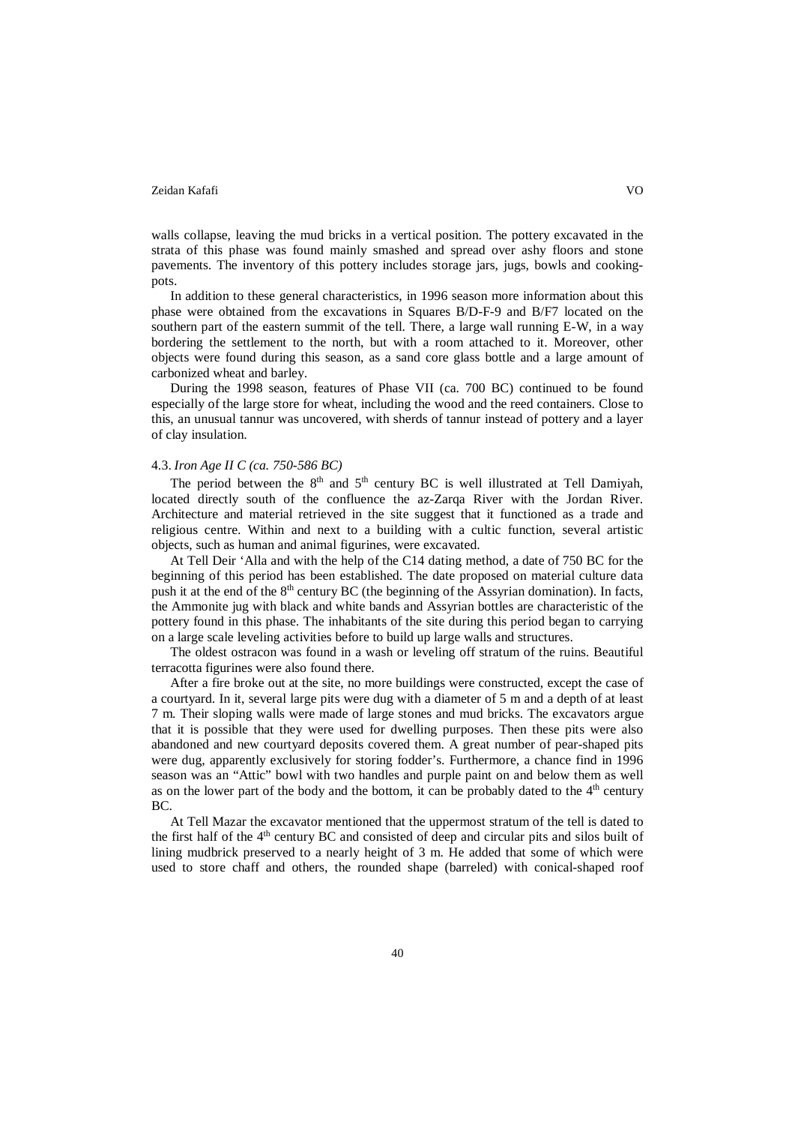walls collapse, leaving the mud bricks in a vertical position. The pottery excavated in the strata of this phase was found mainly smashed and spread over ashy floors and stone pavements. The inventory of this pottery includes storage jars, jugs, bowls and cookingpots.

In addition to these general characteristics, in 1996 season more information about this phase were obtained from the excavations in Squares B/D-F-9 and B/F7 located on the southern part of the eastern summit of the tell. There, a large wall running E-W, in a way bordering the settlement to the north, but with a room attached to it. Moreover, other objects were found during this season, as a sand core glass bottle and a large amount of carbonized wheat and barley.

During the 1998 season, features of Phase VII (ca. 700 BC) continued to be found especially of the large store for wheat, including the wood and the reed containers. Close to this, an unusual tannur was uncovered, with sherds of tannur instead of pottery and a layer of clay insulation.

# 4.3. *Iron Age II C (ca. 750-586 BC)*

The period between the  $8<sup>th</sup>$  and  $5<sup>th</sup>$  century BC is well illustrated at Tell Damiyah, located directly south of the confluence the az-Zarqa River with the Jordan River. Architecture and material retrieved in the site suggest that it functioned as a trade and religious centre. Within and next to a building with a cultic function, several artistic objects, such as human and animal figurines, were excavated.

At Tell Deir 'Alla and with the help of the C14 dating method, a date of 750 BC for the beginning of this period has been established. The date proposed on material culture data push it at the end of the 8<sup>th</sup> century BC (the beginning of the Assyrian domination). In facts, the Ammonite jug with black and white bands and Assyrian bottles are characteristic of the pottery found in this phase. The inhabitants of the site during this period began to carrying on a large scale leveling activities before to build up large walls and structures.

The oldest ostracon was found in a wash or leveling off stratum of the ruins. Beautiful terracotta figurines were also found there.

After a fire broke out at the site, no more buildings were constructed, except the case of a courtyard. In it, several large pits were dug with a diameter of 5 m and a depth of at least 7 m. Their sloping walls were made of large stones and mud bricks. The excavators argue that it is possible that they were used for dwelling purposes. Then these pits were also abandoned and new courtyard deposits covered them. A great number of pear-shaped pits were dug, apparently exclusively for storing fodder's. Furthermore, a chance find in 1996 season was an "Attic" bowl with two handles and purple paint on and below them as well as on the lower part of the body and the bottom, it can be probably dated to the  $4<sup>th</sup>$  century BC.

At Tell Mazar the excavator mentioned that the uppermost stratum of the tell is dated to the first half of the  $4<sup>th</sup>$  century BC and consisted of deep and circular pits and silos built of lining mudbrick preserved to a nearly height of 3 m. He added that some of which were used to store chaff and others, the rounded shape (barreled) with conical-shaped roof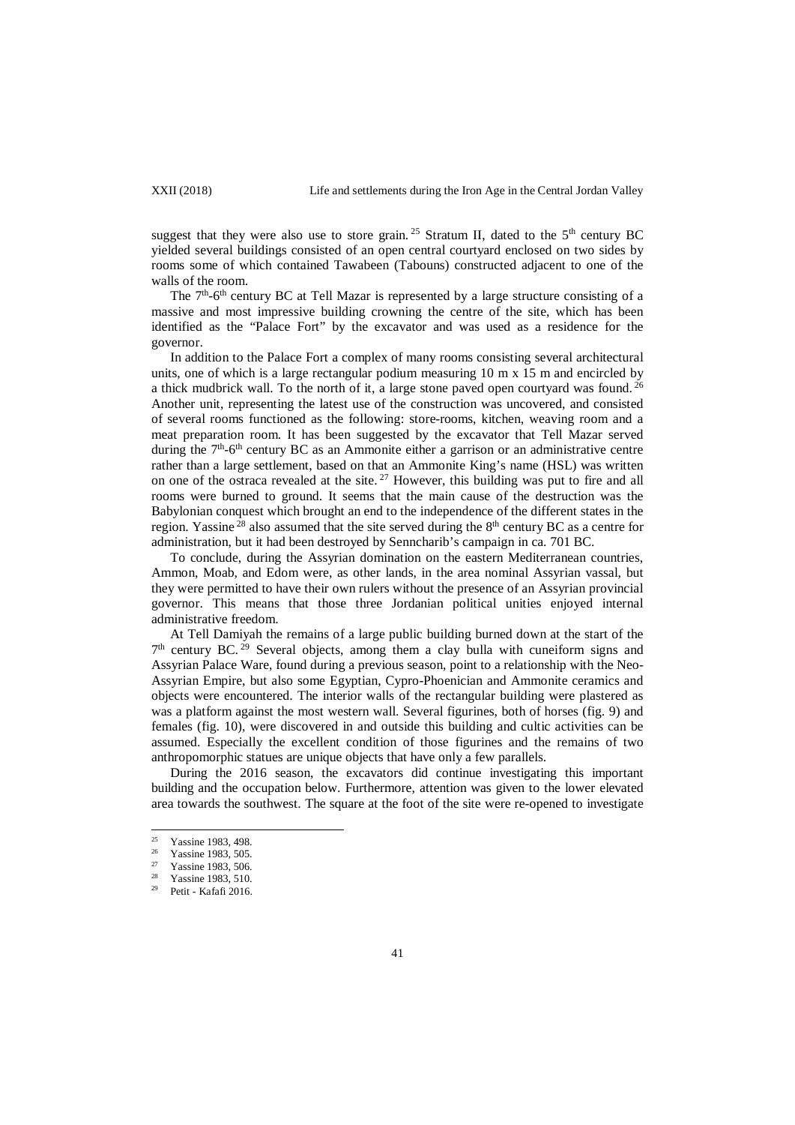suggest that they were also use to store grain.<sup>25</sup> Stratum II, dated to the  $5<sup>th</sup>$  century BC yielded several buildings consisted of an open central courtyard enclosed on two sides by rooms some of which contained Tawabeen (Tabouns) constructed adjacent to one of the walls of the room.

The  $7<sup>th</sup>$ -6<sup>th</sup> century BC at Tell Mazar is represented by a large structure consisting of a massive and most impressive building crowning the centre of the site, which has been identified as the "Palace Fort" by the excavator and was used as a residence for the governor.

In addition to the Palace Fort a complex of many rooms consisting several architectural units, one of which is a large rectangular podium measuring  $10 \text{ m} \times 15 \text{ m}$  and encircled by a thick mudbrick wall. To the north of it, a large stone paved open courtyard was found.  $^{26}$ Another unit, representing the latest use of the construction was uncovered, and consisted of several rooms functioned as the following: store-rooms, kitchen, weaving room and a meat preparation room. It has been suggested by the excavator that Tell Mazar served during the  $7<sup>th</sup>$ -6<sup>th</sup> century BC as an Ammonite either a garrison or an administrative centre rather than a large settlement, based on that an Ammonite King's name (HSL) was written on one of the ostraca revealed at the site.<sup>27</sup> However, this building was put to fire and all rooms were burned to ground. It seems that the main cause of the destruction was the Babylonian conquest which brought an end to the independence of the different states in the region. Yassine  $^{28}$  also assumed that the site served during the  $8<sup>th</sup>$  century BC as a centre for administration, but it had been destroyed by Senncharib's campaign in ca. 701 BC.

To conclude, during the Assyrian domination on the eastern Mediterranean countries, Ammon, Moab, and Edom were, as other lands, in the area nominal Assyrian vassal, but they were permitted to have their own rulers without the presence of an Assyrian provincial governor. This means that those three Jordanian political unities enjoyed internal administrative freedom.

At Tell Damiyah the remains of a large public building burned down at the start of the  $7<sup>th</sup>$  century BC.<sup>29</sup> Several objects, among them a clay bulla with cuneiform signs and Assyrian Palace Ware, found during a previous season, point to a relationship with the Neo-Assyrian Empire, but also some Egyptian, Cypro-Phoenician and Ammonite ceramics and objects were encountered. The interior walls of the rectangular building were plastered as was a platform against the most western wall. Several figurines, both of horses (fig. 9) and females (fig. 10), were discovered in and outside this building and cultic activities can be assumed. Especially the excellent condition of those figurines and the remains of two anthropomorphic statues are unique objects that have only a few parallels.

During the 2016 season, the excavators did continue investigating this important building and the occupation below. Furthermore, attention was given to the lower elevated area towards the southwest. The square at the foot of the site were re-opened to investigate

<sup>&</sup>lt;sup>25</sup> Yassine 1983, 498.<br> $\frac{25}{26}$  Yassine 1983, 505  $25$ 

 $\frac{26}{27}$  Yassine 1983, 505.

<sup>&</sup>lt;sup>27</sup> Yassine 1983, 506.

Yassine 1983, 510.

<sup>29</sup> Petit - Kafafi 2016.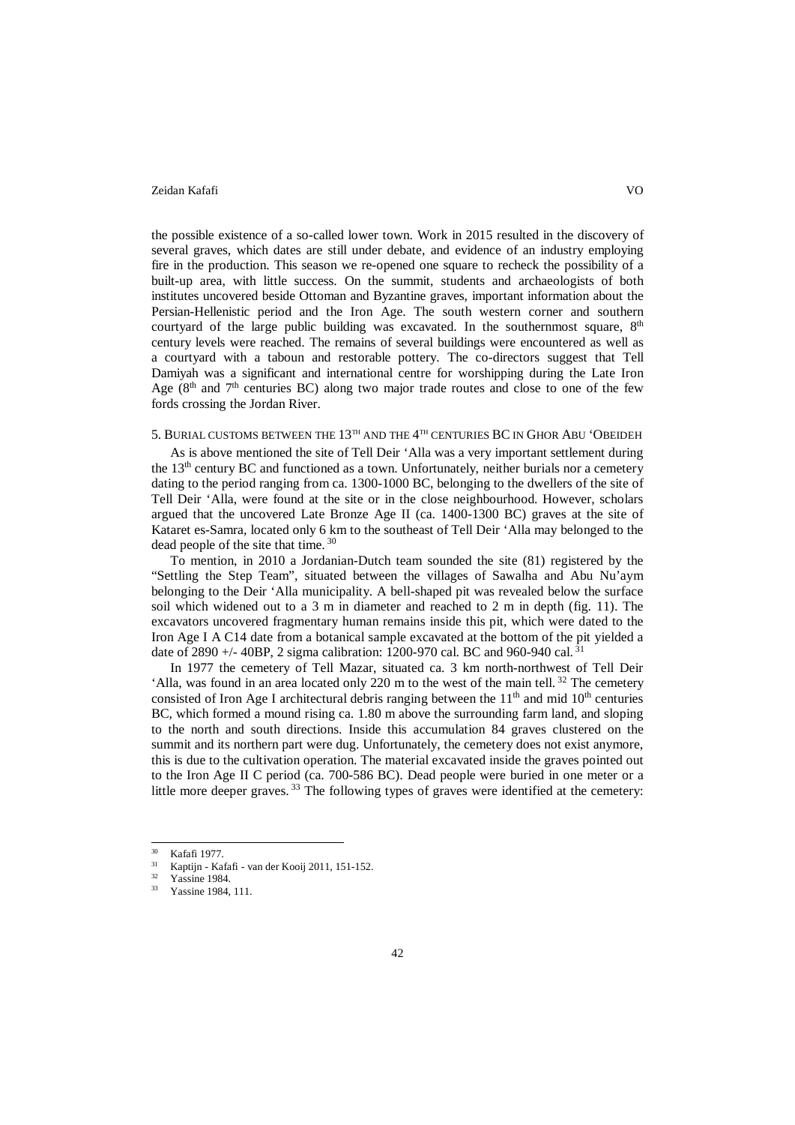the possible existence of a so-called lower town. Work in 2015 resulted in the discovery of several graves, which dates are still under debate, and evidence of an industry employing fire in the production. This season we re-opened one square to recheck the possibility of a built-up area, with little success. On the summit, students and archaeologists of both institutes uncovered beside Ottoman and Byzantine graves, important information about the Persian-Hellenistic period and the Iron Age. The south western corner and southern courtyard of the large public building was excavated. In the southernmost square,  $8<sup>th</sup>$ century levels were reached. The remains of several buildings were encountered as well as a courtyard with a taboun and restorable pottery. The co-directors suggest that Tell Damiyah was a significant and international centre for worshipping during the Late Iron Age  $(8<sup>th</sup>$  and  $7<sup>th</sup>$  centuries BC) along two major trade routes and close to one of the few fords crossing the Jordan River.

# 5. BURIAL CUSTOMS BETWEEN THE  $13^{\text{th}}$  AND THE  $4^{\text{th}}$  CENTURIES BC IN GHOR ABU 'OBEIDEH

As is above mentioned the site of Tell Deir 'Alla was a very important settlement during the 13<sup>th</sup> century BC and functioned as a town. Unfortunately, neither burials nor a cemetery dating to the period ranging from ca. 1300-1000 BC, belonging to the dwellers of the site of Tell Deir 'Alla, were found at the site or in the close neighbourhood. However, scholars argued that the uncovered Late Bronze Age II (ca. 1400-1300 BC) graves at the site of Kataret es-Samra, located only 6 km to the southeast of Tell Deir 'Alla may belonged to the dead people of the site that time. <sup>30</sup>

To mention, in 2010 a Jordanian-Dutch team sounded the site (81) registered by the "Settling the Step Team", situated between the villages of Sawalha and Abu Nu'aym belonging to the Deir 'Alla municipality. A bell-shaped pit was revealed below the surface soil which widened out to a 3 m in diameter and reached to 2 m in depth (fig. 11). The excavators uncovered fragmentary human remains inside this pit, which were dated to the Iron Age I A C14 date from a botanical sample excavated at the bottom of the pit yielded a date of 2890  $+/-$  40BP, 2 sigma calibration: 1200-970 cal. BC and 960-940 cal. 3<sup>1</sup>

In 1977 the cemetery of Tell Mazar, situated ca. 3 km north-northwest of Tell Deir 'Alla, was found in an area located only 220 m to the west of the main tell. <sup>32</sup> The cemetery consisted of Iron Age I architectural debris ranging between the  $11<sup>th</sup>$  and mid  $10<sup>th</sup>$  centuries BC, which formed a mound rising ca. 1.80 m above the surrounding farm land, and sloping to the north and south directions. Inside this accumulation 84 graves clustered on the summit and its northern part were dug. Unfortunately, the cemetery does not exist anymore, this is due to the cultivation operation. The material excavated inside the graves pointed out to the Iron Age II C period (ca. 700-586 BC). Dead people were buried in one meter or a little more deeper graves.  $^{33}$  The following types of graves were identified at the cemetery:

 $\frac{30}{31}$  Kafafi 1977.  $30^{\circ}$ 

 $\frac{31}{32}$  Kaptijn - Kafafi - van der Kooij 2011, 151-152.

Yassine 1984.

Yassine 1984, 111.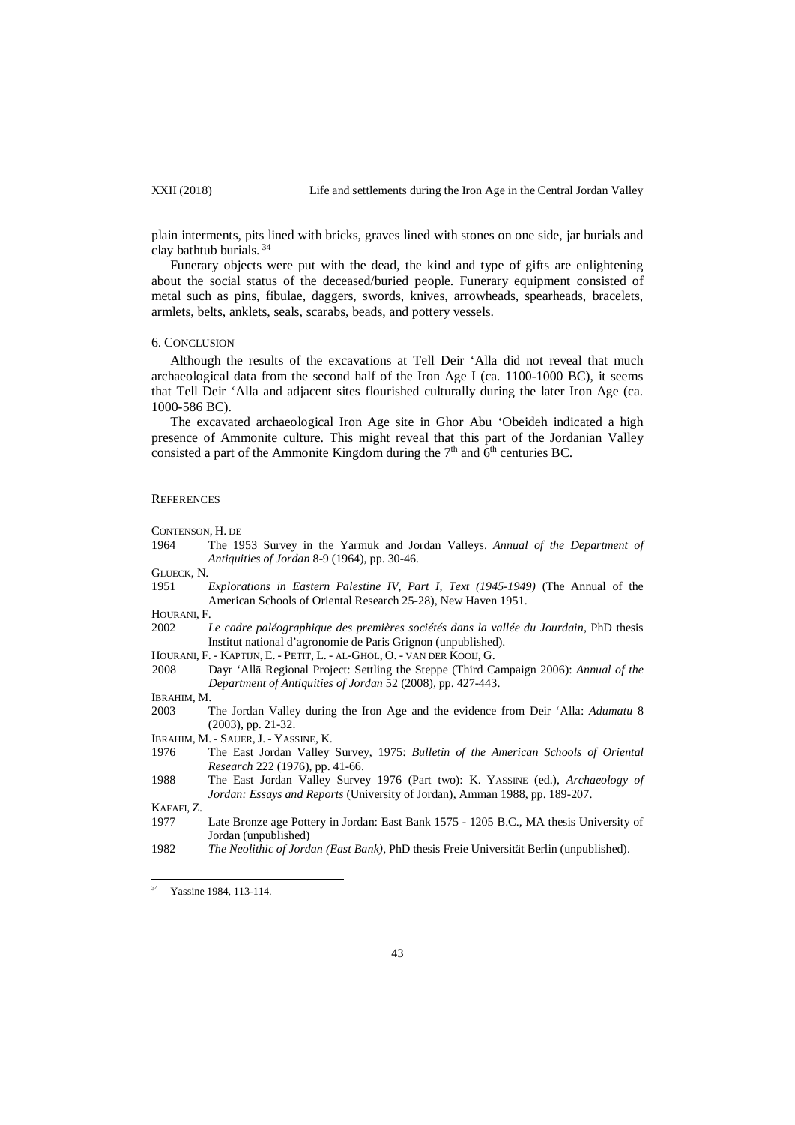plain interments, pits lined with bricks, graves lined with stones on one side, jar burials and clay bathtub burials. <sup>34</sup>

Funerary objects were put with the dead, the kind and type of gifts are enlightening about the social status of the deceased/buried people. Funerary equipment consisted of metal such as pins, fibulae, daggers, swords, knives, arrowheads, spearheads, bracelets, armlets, belts, anklets, seals, scarabs, beads, and pottery vessels.

## 6. CONCLUSION

Although the results of the excavations at Tell Deir 'Alla did not reveal that much archaeological data from the second half of the Iron Age I (ca. 1100-1000 BC), it seems that Tell Deir 'Alla and adjacent sites flourished culturally during the later Iron Age (ca. 1000-586 BC).

The excavated archaeological Iron Age site in Ghor Abu 'Obeideh indicated a high presence of Ammonite culture. This might reveal that this part of the Jordanian Valley consisted a part of the Ammonite Kingdom during the  $7<sup>th</sup>$  and  $6<sup>th</sup>$  centuries BC.

### **REFERENCES**

CONTENSON, H. DE

- 1964 The 1953 Survey in the Yarmuk and Jordan Valleys. *Annual of the Department of Antiquities of Jordan* 8-9 (1964), pp. 30-46.
- GLUECK, N.
- 1951 *Explorations in Eastern Palestine IV, Part I, Text (1945-1949)* (The Annual of the American Schools of Oriental Research 25-28), New Haven 1951.
- HOURANI, F.
- 2002 *Le cadre paléographique des premières sociétés dans la vallée du Jourdain*, PhD thesis [Institut national d'agronomie de Paris Grignon](https://www.theses.fr/026387859) (unpublished).
- HOURANI, F. KAPTIJN, E. PETIT, L. AL-GHOL, O. VAN DER KOOIJ, G.
- 2008 Dayr 'Allā Regional Project: Settling the Steppe (Third Campaign 2006): *Annual of the Department of Antiquities of Jordan* 52 (2008), pp. 427-443.
- IBRAHIM, M.
- 2003 The Jordan Valley during the Iron Age and the evidence from Deir 'Alla: *Adumatu* 8 (2003), pp. 21-32.
- IBRAHIM, M. SAUER,J. YASSINE, K.
- 1976 The East Jordan Valley Survey, 1975: *Bulletin of the American Schools of Oriental Research* 222 (1976), pp. 41-66.
- 1988 The East Jordan Valley Survey 1976 (Part two): K. YASSINE (ed.), *Archaeology of Jordan: Essays and Reports* (University of Jordan), Amman 1988, pp. 189-207.

KAFAFI, Z.

- 1977 Late Bronze age Pottery in Jordan: East Bank 1575 1205 B.C., MA thesis University of Jordan (unpublished)
- 1982 *The Neolithic of Jordan (East Bank)*, PhD thesis Freie Universität Berlin (unpublished).

<sup>&</sup>lt;sup>34</sup> Yassine 1984, 113-114.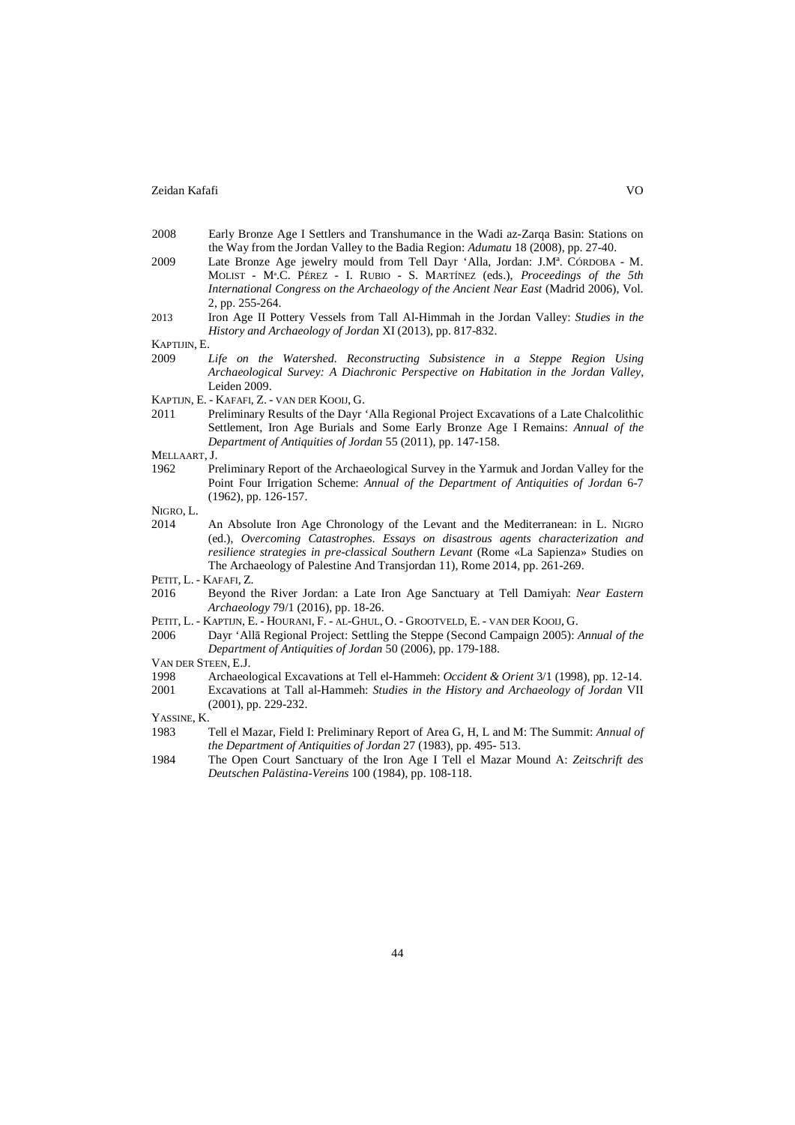- 2008 Early Bronze Age I Settlers and Transhumance in the Wadi az-Zarqa Basin: Stations on the Way from the Jordan Valley to the Badia Region: *Adumatu* 18 (2008), pp. 27-40.
- 2009 Late Bronze Age jewelry mould from Tell Dayr 'Alla, Jordan: J.M<sup>a</sup>. CÓRDOBA M. MOLIST - Mª.C. PÉREZ - I. RUBIO - S. MARTÍNEZ (eds.), *Proceedings of the 5th International Congress on the Archaeology of the Ancient Near East* (Madrid 2006), Vol. 2, pp. 255-264.
- 2013 Iron Age II Pottery Vessels from Tall Al-Himmah in the Jordan Valley: *Studies in the History and Archaeology of Jordan* XI (2013), pp. 817-832.

KAPTIJIN, E.

- 2009 *Life on the Watershed. Reconstructing Subsistence in a Steppe Region Using Archaeological Survey: A Diachronic Perspective on Habitation in the Jordan Valley*, Leiden 2009.
- KAPTIJN, E. KAFAFI, Z. VAN DER KOOIJ, G.
- 2011 Preliminary Results of the Dayr 'Alla Regional Project Excavations of a Late Chalcolithic Settlement, Iron Age Burials and Some Early Bronze Age I Remains: *Annual of the Department of Antiquities of Jordan* 55 (2011), pp. 147-158.

# MELLAART, J.

1962 Preliminary Report of the Archaeological Survey in the Yarmuk and Jordan Valley for the Point Four Irrigation Scheme: *Annual of the Department of Antiquities of Jordan* 6-7 (1962), pp. 126-157.

NIGRO, L.

2014 An Absolute Iron Age Chronology of the Levant and the Mediterranean: in L. NIGRO (ed.), *Overcoming Catastrophes. Essays on disastrous agents characterization and resilience strategies in pre-classical Southern Levant* (Rome «La Sapienza» Studies on The Archaeology of Palestine And Transjordan 11), Rome 2014, pp. 261-269.

PETIT, L. - KAFAFI, Z.

- 2016 Beyond the River Jordan: a Late Iron Age Sanctuary at Tell Damiyah: *Near Eastern Archaeology* 79/1 (2016), pp. 18-26.
- PETIT, L. KAPTIJN, E. HOURANI, F. AL-GHUL, O. GROOTVELD, E. VAN DER KOOIJ, G.
- 2006 Dayr 'Allā Regional Project: Settling the Steppe (Second Campaign 2005): *Annual of the Department of Antiquities of Jordan* 50 (2006), pp. 179-188.

VAN DER STEEN, E.J.

- 1998 Archaeological Excavations at Tell el-Hammeh: *Occident & Orient* 3/1 (1998), pp. 12-14.
- 2001 Excavations at Tall al-Hammeh: *Studies in the History and Archaeology of Jordan* VII (2001), pp. 229-232.

YASSINE, K.

- 1983 Tell el Mazar, Field I: Preliminary Report of Area G, H, L and M: The Summit: *Annual of the Department of Antiquities of Jordan* 27 (1983), pp. 495- 513.
- 1984 The Open Court Sanctuary of the Iron Age I Tell el Mazar Mound A: *Zeitschrift des Deutschen Palästina-Vereins* 100 (1984), pp. 108-118.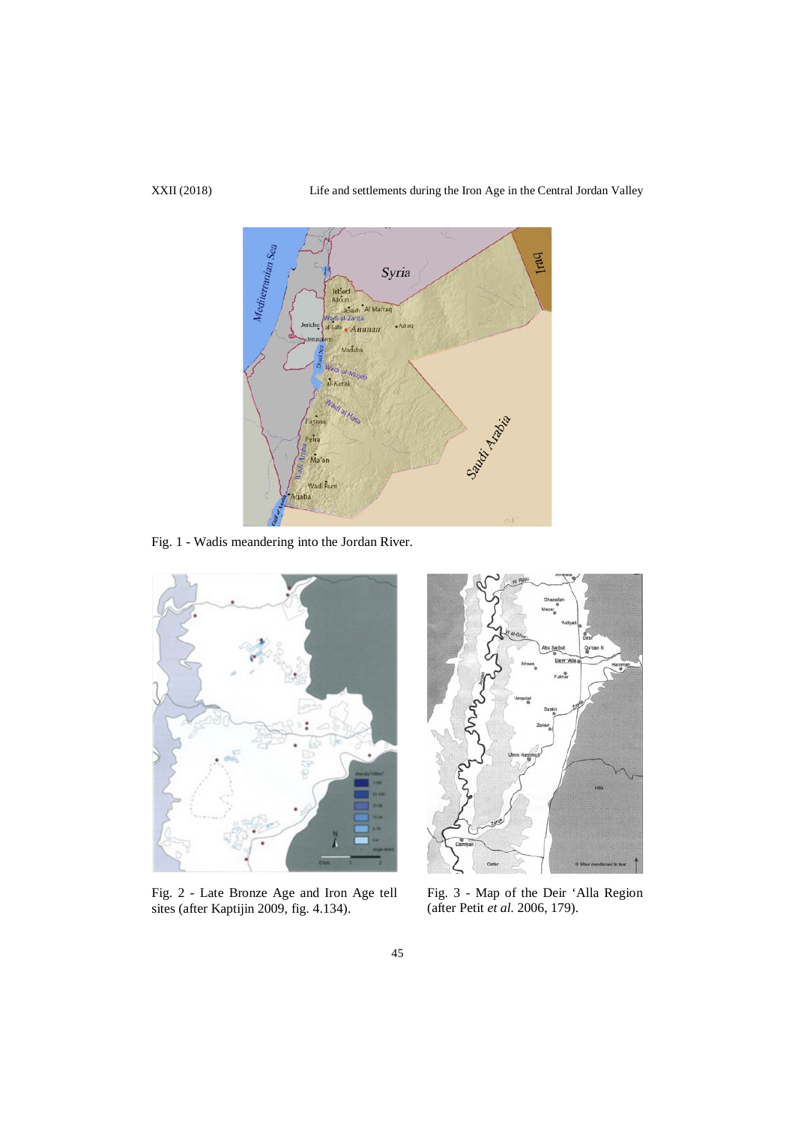

45

Fig. 1 - Wadis meandering into the Jordan River.



Fig. 2 - Late Bronze Age and Iron Age tell sites (after Kaptijin 2009, fig. 4.134).



Fig. 3 - Map of the Deir 'Alla Region (after Petit *et al.* 2006, 179).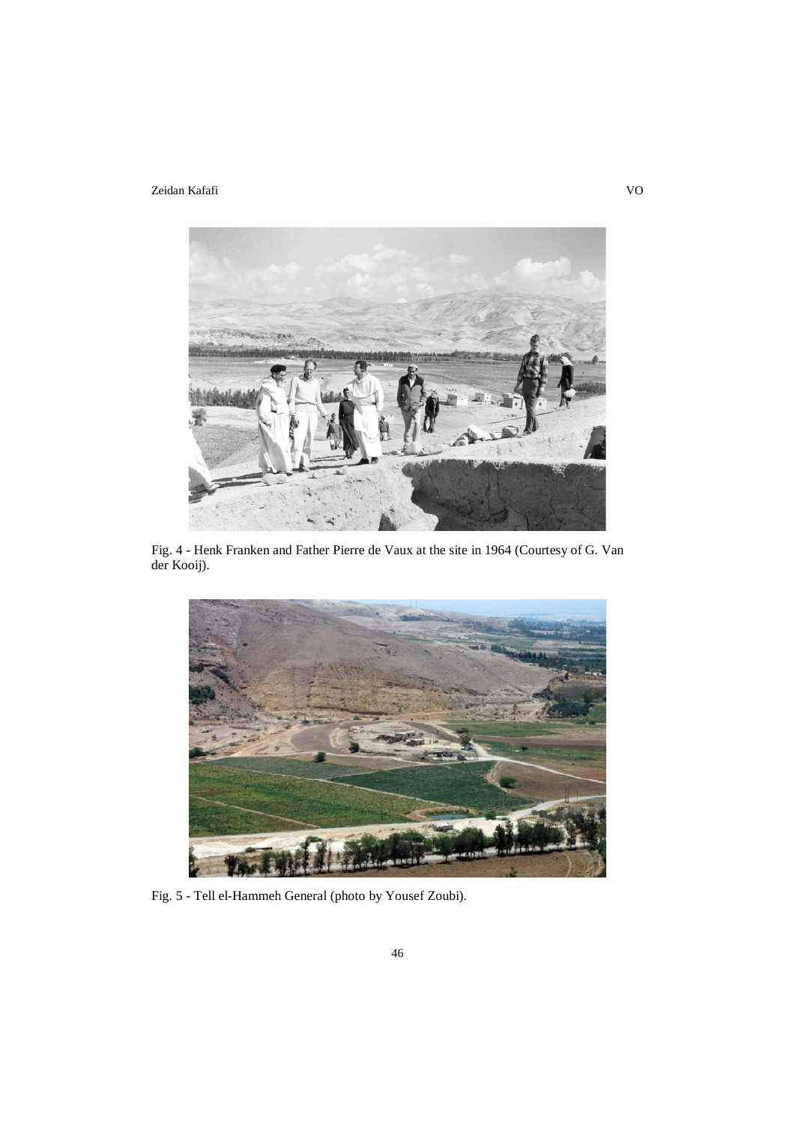

Fig. 4 - Henk Franken and Father Pierre de Vaux at the site in 1964 (Courtesy of G. Van der Kooij).



Fig. 5 - Tell el-Hammeh General (photo by Yousef Zoubi).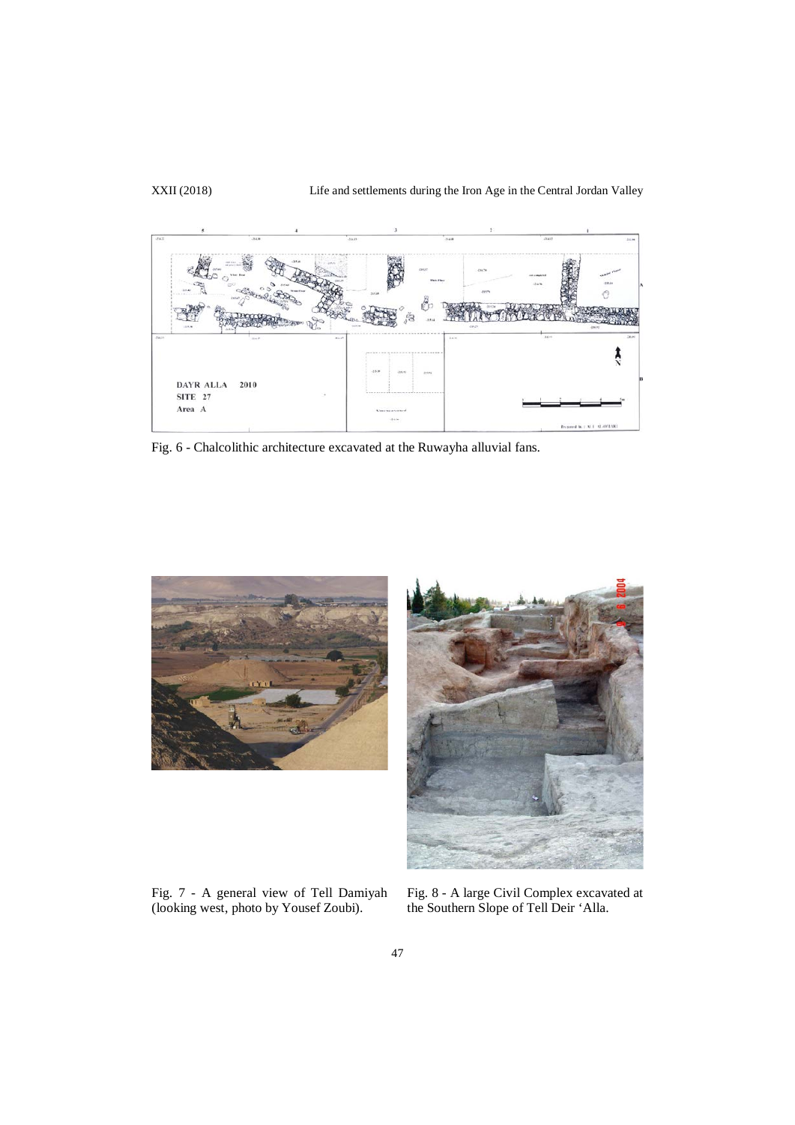XXII (2018) Life and settlements during the Iron Age in the Central Jordan Valley



Fig. 6 - Chalcolithic architecture excavated at the Ruwayha alluvial fans.



Fig. 7 - A general view of Tell Damiyah (looking west, photo by Yousef Zoubi).



Fig. 8 - A large Civil Complex excavated at the Southern Slope of Tell Deir 'Alla.